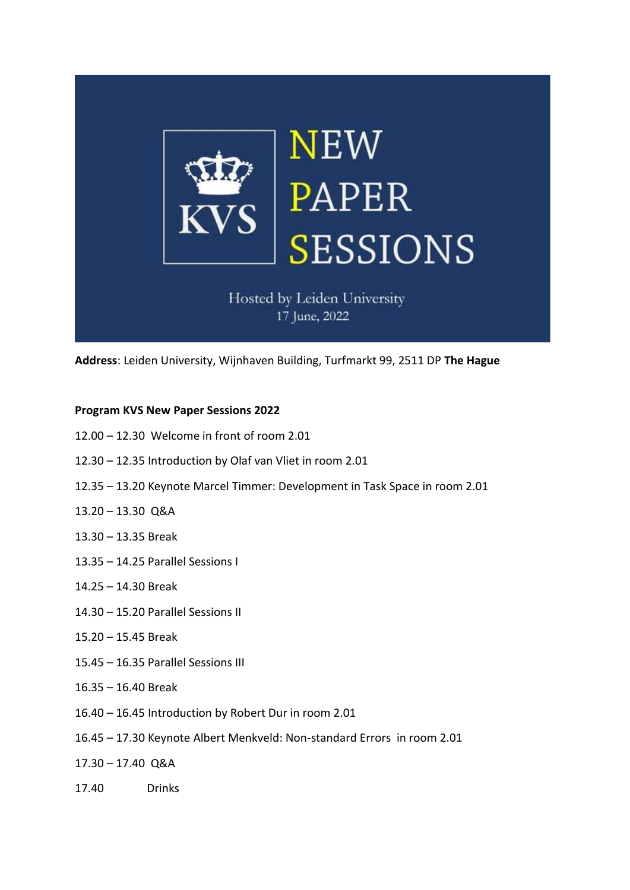

Hosted by Leiden University 17 June, 2022

**Address**: Leiden University, Wijnhaven Building, Turfmarkt 99, 2511 DP **The Hague**

# **Program KVS New Paper Sessions 2022**

- 12.00 12.30 Welcome in front of room 2.01
- 12.30 12.35 Introduction by Olaf van Vliet in room 2.01
- 12.35 13.20 Keynote Marcel Timmer: Development in Task Space in room 2.01
- 13.20 13.30 Q&A
- 13.30 13.35 Break
- 13.35 14.25 Parallel Sessions I
- 14.25 14.30 Break
- 14.30 15.20 Parallel Sessions II
- 15.20 15.45 Break
- 15.45 16.35 Parallel Sessions III
- 16.35 16.40 Break
- 16.40 16.45 Introduction by Robert Dur in room 2.01
- 16.45 17.30 Keynote Albert Menkveld: Non-standard Errors in room 2.01
- 17.30 17.40 Q&A
- 17.40 Drinks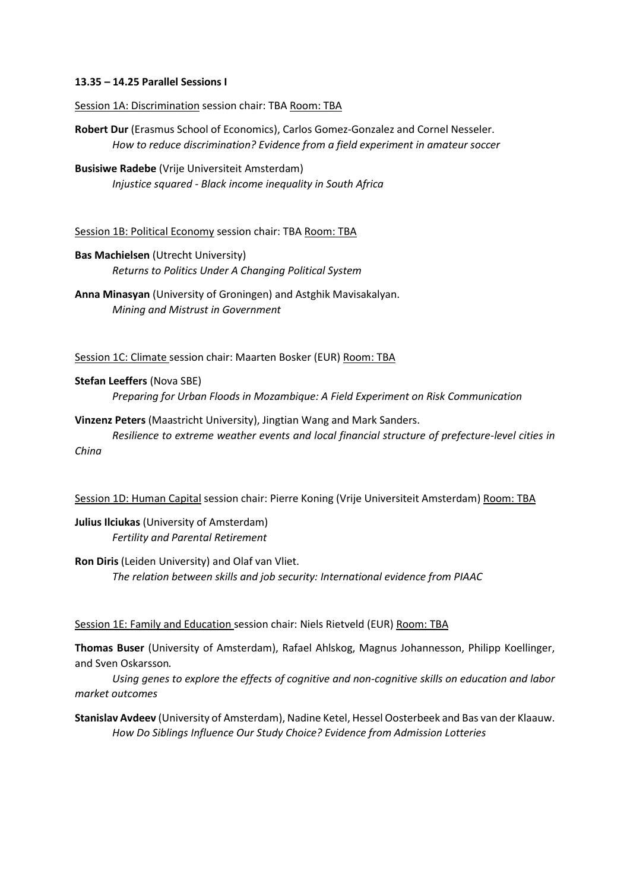# **13.35 – 14.25 Parallel Sessions I**

Session 1A: Discrimination session chair: TBA Room: TBA

**Robert Dur** (Erasmus School of Economics), Carlos Gomez-Gonzalez and Cornel Nesseler. *How to reduce discrimination? Evidence from a field experiment in amateur soccer*

**Busisiwe Radebe** (Vrije Universiteit Amsterdam) *Injustice squared - Black income inequality in South Africa*

Session 1B: Political Economy session chair: TBA Room: TBA

# **Bas Machielsen** (Utrecht University) *Returns to Politics Under A Changing Political System*

**Anna Minasyan** (University of Groningen) and Astghik Mavisakalyan. *Mining and Mistrust in Government* 

Session 1C: Climate session chair: Maarten Bosker (EUR) Room: TBA

### **Stefan Leeffers** (Nova SBE)

*Preparing for Urban Floods in Mozambique: A Field Experiment on Risk Communication*

**Vinzenz Peters** (Maastricht University), Jingtian Wang and Mark Sanders. *Resilience to extreme weather events and local financial structure of prefecture-level cities in China*

Session 1D: Human Capital session chair: Pierre Koning (Vrije Universiteit Amsterdam) Room: TBA

**Julius Ilciukas** (University of Amsterdam) *Fertility and Parental Retirement*

**Ron Diris** (Leiden University) and Olaf van Vliet. *The relation between skills and job security: International evidence from PIAAC*

#### Session 1E: Family and Education session chair: Niels Rietveld (EUR) Room: TBA

**Thomas Buser** (University of Amsterdam), Rafael Ahlskog, Magnus Johannesson, Philipp Koellinger, and Sven Oskarsson.

*Using genes to explore the effects of cognitive and non-cognitive skills on education and labor market outcomes*

**Stanislav Avdeev** (University of Amsterdam), Nadine Ketel, Hessel Oosterbeek and Bas van der Klaauw. *How Do Siblings Influence Our Study Choice? Evidence from Admission Lotteries*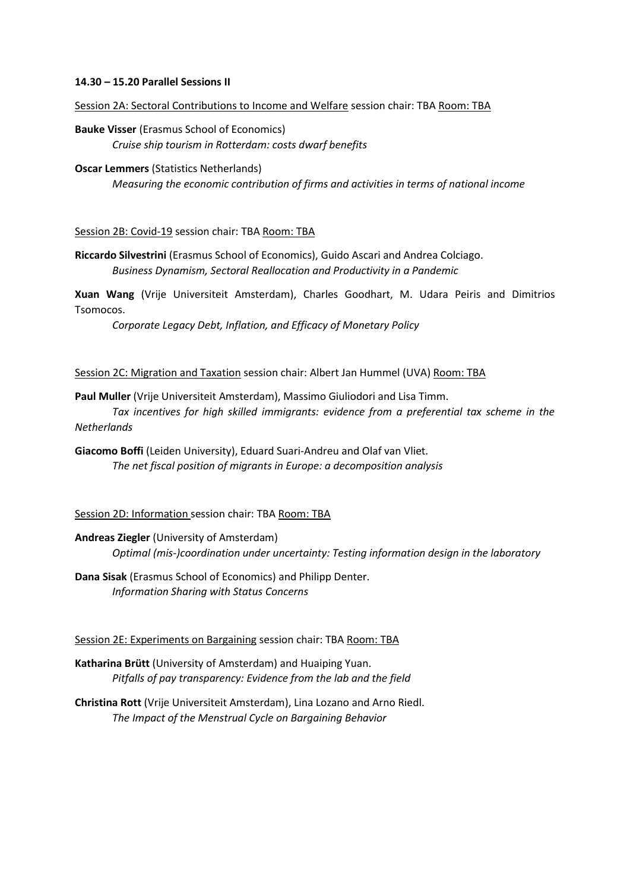### **14.30 – 15.20 Parallel Sessions II**

Session 2A: Sectoral Contributions to Income and Welfare session chair: TBA Room: TBA

**Bauke Visser** (Erasmus School of Economics) *Cruise ship tourism in Rotterdam: costs dwarf benefits*

#### **Oscar Lemmers** (Statistics Netherlands)

*Measuring the economic contribution of firms and activities in terms of national income*

Session 2B: Covid-19 session chair: TBA Room: TBA

**Riccardo Silvestrini** (Erasmus School of Economics), Guido Ascari and Andrea Colciago. *Business Dynamism, Sectoral Reallocation and Productivity in a Pandemic*

**Xuan Wang** (Vrije Universiteit Amsterdam), Charles Goodhart, M. Udara Peiris and Dimitrios Tsomocos.

*Corporate Legacy Debt, Inflation, and Efficacy of Monetary Policy*

Session 2C: Migration and Taxation session chair: Albert Jan Hummel (UVA) Room: TBA

**Paul Muller** (Vrije Universiteit Amsterdam), Massimo Giuliodori and Lisa Timm.

*Tax incentives for high skilled immigrants: evidence from a preferential tax scheme in the Netherlands*

**Giacomo Boffi** (Leiden University), Eduard Suari-Andreu and Olaf van Vliet. *The net fiscal position of migrants in Europe: a decomposition analysis*

Session 2D: Information session chair: TBA Room: TBA

**Andreas Ziegler** (University of Amsterdam) *Optimal (mis-)coordination under uncertainty: Testing information design in the laboratory*

**Dana Sisak** (Erasmus School of Economics) and Philipp Denter. *Information Sharing with Status Concerns*

Session 2E: Experiments on Bargaining session chair: TBA Room: TBA

**Katharina Brütt** (University of Amsterdam) and Huaiping Yuan. *Pitfalls of pay transparency: Evidence from the lab and the field*

**Christina Rott** (Vrije Universiteit Amsterdam), Lina Lozano and Arno Riedl. *The Impact of the Menstrual Cycle on Bargaining Behavior*